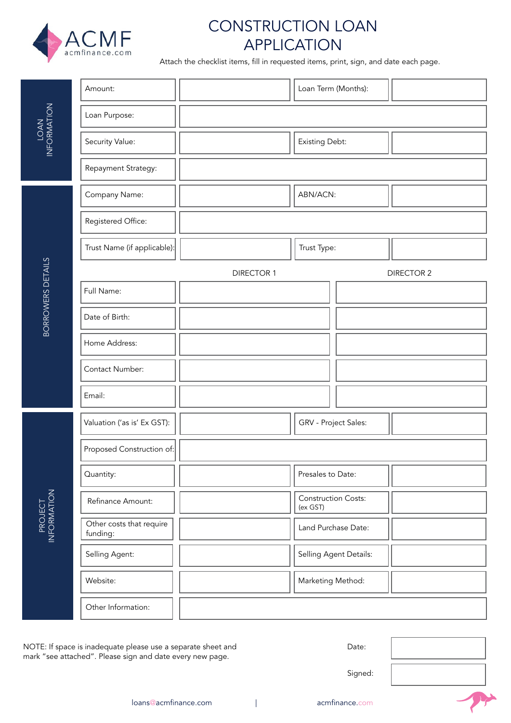

# CONSTRUCTION LOAN APPLICATION

Attach the checklist items, fill in requested items, print, sign, and date each page.

| LOAN<br>INFORMATION      | Amount:                              | Loan Term (Months):                    |
|--------------------------|--------------------------------------|----------------------------------------|
|                          | Loan Purpose:                        |                                        |
|                          | Security Value:                      | Existing Debt:                         |
|                          | Repayment Strategy:                  |                                        |
| <b>BORROWERS DETAILS</b> | Company Name:                        | ABN/ACN:                               |
|                          | Registered Office:                   |                                        |
|                          | Trust Name (if applicable):          | Trust Type:                            |
|                          |                                      | <b>DIRECTOR 1</b><br><b>DIRECTOR 2</b> |
|                          | Full Name:                           |                                        |
|                          | Date of Birth:                       |                                        |
|                          | Home Address:                        |                                        |
|                          | Contact Number:                      |                                        |
|                          | Email:                               |                                        |
|                          | Valuation ('as is' Ex GST):          | GRV - Project Sales:                   |
|                          | Proposed Construction of:            |                                        |
|                          | Quantity:                            | Presales to Date:                      |
|                          | Refinance Amount:                    | <b>Construction Costs:</b><br>(ex GST) |
| PROJECT                  | Other costs that require<br>funding: | Land Purchase Date:                    |
|                          | Selling Agent:                       | Selling Agent Details:                 |
|                          | Website:                             | Marketing Method:                      |
|                          | Other Information:                   |                                        |

NOTE: If space is inadequate please use a separate sheet and mark "see attached". Please sign and date every new page.



Signed: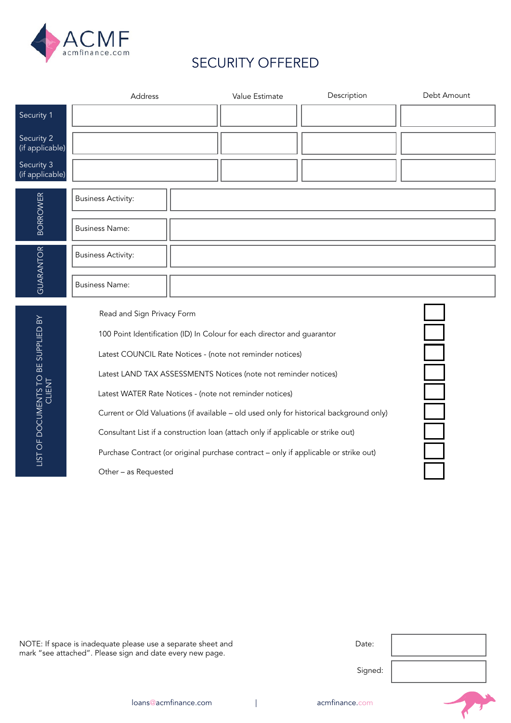

# SECURITY OFFERED

|                                               | Address                                                                              |  | Value Estimate                                                          | Description                                                                             | Debt Amount |
|-----------------------------------------------|--------------------------------------------------------------------------------------|--|-------------------------------------------------------------------------|-----------------------------------------------------------------------------------------|-------------|
| Security 1                                    |                                                                                      |  |                                                                         |                                                                                         |             |
| Security 2<br>(if applicable)                 |                                                                                      |  |                                                                         |                                                                                         |             |
| Security 3<br>(if applicable)                 |                                                                                      |  |                                                                         |                                                                                         |             |
| <b>BORROWER</b>                               | <b>Business Activity:</b>                                                            |  |                                                                         |                                                                                         |             |
|                                               | <b>Business Name:</b>                                                                |  |                                                                         |                                                                                         |             |
| GUARANTOR                                     | <b>Business Activity:</b>                                                            |  |                                                                         |                                                                                         |             |
|                                               | <b>Business Name:</b>                                                                |  |                                                                         |                                                                                         |             |
|                                               | Read and Sign Privacy Form                                                           |  |                                                                         |                                                                                         |             |
|                                               |                                                                                      |  | 100 Point Identification (ID) In Colour for each director and guarantor |                                                                                         |             |
|                                               |                                                                                      |  | Latest COUNCIL Rate Notices - (note not reminder notices)               |                                                                                         |             |
|                                               |                                                                                      |  | Latest LAND TAX ASSESSMENTS Notices (note not reminder notices)         |                                                                                         |             |
| LIST OF DOCUMENTS TO BE SUPPLIED BY<br>CLIENT | Latest WATER Rate Notices - (note not reminder notices)                              |  |                                                                         |                                                                                         |             |
|                                               |                                                                                      |  |                                                                         | Current or Old Valuations (if available - old used only for historical background only) |             |
|                                               | Consultant List if a construction loan (attach only if applicable or strike out)     |  |                                                                         |                                                                                         |             |
|                                               | Purchase Contract (or original purchase contract - only if applicable or strike out) |  |                                                                         |                                                                                         |             |
|                                               | Other - as Requested                                                                 |  |                                                                         |                                                                                         |             |
|                                               |                                                                                      |  |                                                                         |                                                                                         |             |

NOTE: If space is inadequate please use a separate sheet and mark "see attached". Please sign and date every new page.

| Date:   |  |
|---------|--|
| Signed: |  |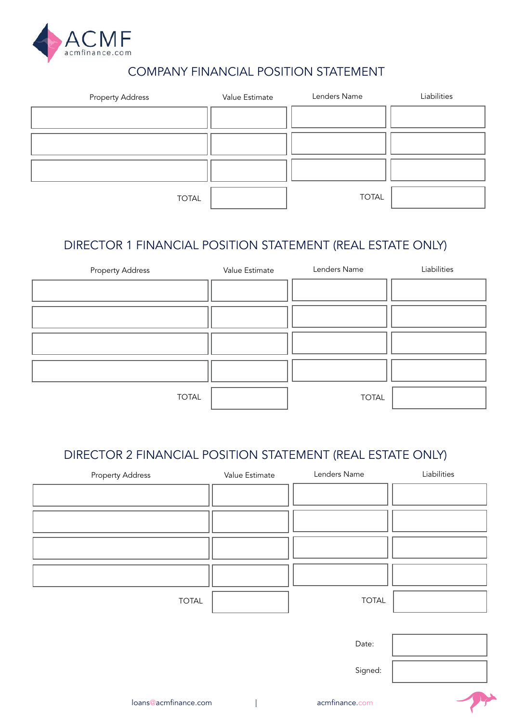

## COMPANY FINANCIAL POSITION STATEMENT

| <b>Property Address</b> | Value Estimate | Lenders Name | Liabilities |
|-------------------------|----------------|--------------|-------------|
|                         |                |              |             |
|                         |                |              |             |
|                         |                |              |             |
| <b>TOTAL</b>            |                | <b>TOTAL</b> |             |

# DIRECTOR 1 FINANCIAL POSITION STATEMENT (REAL ESTATE ONLY)



#### DIRECTOR 2 FINANCIAL POSITION STATEMENT (REAL ESTATE ONLY)

| <b>Property Address</b> | Value Estimate | Lenders Name   | Liabilities |
|-------------------------|----------------|----------------|-------------|
|                         |                |                |             |
|                         |                |                |             |
|                         |                |                |             |
|                         |                |                |             |
| <b>TOTAL</b>            |                | <b>TOTAL</b>   |             |
|                         |                |                |             |
|                         |                | Date:          |             |
|                         |                | Signed:        |             |
| loans@acmfinance.com    |                | acmfinance.com |             |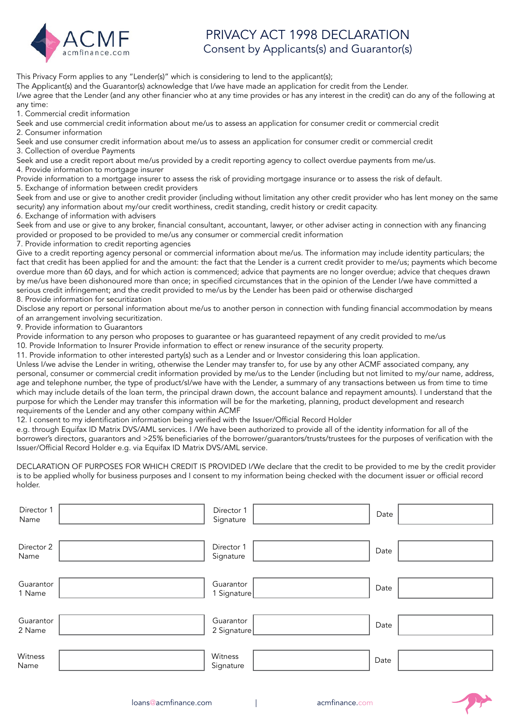

### PRIVACY ACT 1998 DECLARATION Consent by Applicants(s) and Guarantor(s)

This Privacy Form applies to any "Lender(s)" which is considering to lend to the applicant(s); The Applicant(s) and the Guarantor(s) acknowledge that I/we have made an application for credit from the Lender.

I/we agree that the Lender (and any other financier who at any time provides or has any interest in the credit) can do any of the following at any time:

1. Commercial credit information

Seek and use commercial credit information about me/us to assess an application for consumer credit or commercial credit 2. Consumer information

Seek and use consumer credit information about me/us to assess an application for consumer credit or commercial credit 3. Collection of overdue Payments

Seek and use a credit report about me/us provided by a credit reporting agency to collect overdue payments from me/us. 4. Provide information to mortgage insurer

Provide information to a mortgage insurer to assess the risk of providing mortgage insurance or to assess the risk of default. 5. Exchange of information between credit providers

Seek from and use or give to another credit provider (including without limitation any other credit provider who has lent money on the same security) any information about my/our credit worthiness, credit standing, credit history or credit capacity.

6. Exchange of information with advisers

Seek from and use or give to any broker, financial consultant, accountant, lawyer, or other adviser acting in connection with any financing provided or proposed to be provided to me/us any consumer or commercial credit information

7. Provide information to credit reporting agencies

Give to a credit reporting agency personal or commercial information about me/us. The information may include identity particulars; the fact that credit has been applied for and the amount: the fact that the Lender is a current credit provider to me/us; payments which become overdue more than 60 days, and for which action is commenced; advice that payments are no longer overdue; advice that cheques drawn by me/us have been dishonoured more than once; in specified circumstances that in the opinion of the Lender I/we have committed a serious credit infringement; and the credit provided to me/us by the Lender has been paid or otherwise discharged 8. Provide information for securitization

Disclose any report or personal information about me/us to another person in connection with funding financial accommodation by means of an arrangement involving securitization.

9. Provide information to Guarantors

Provide information to any person who proposes to guarantee or has guaranteed repayment of any credit provided to me/us 10. Provide Information to Insurer Provide information to effect or renew insurance of the security property.

11. Provide information to other interested party(s) such as a Lender and or Investor considering this loan application.

Unless I/we advise the Lender in writing, otherwise the Lender may transfer to, for use by any other ACMF associated company, any personal, consumer or commercial credit information provided by me/us to the Lender (including but not limited to my/our name, address, age and telephone number, the type of product/sI/we have with the Lender, a summary of any transactions between us from time to time which may include details of the loan term, the principal drawn down, the account balance and repayment amounts). I understand that the purpose for which the Lender may transfer this information will be for the marketing, planning, product development and research requirements of the Lender and any other company within ACMF

12. I consent to my identification information being verified with the Issuer/Official Record Holder

e.g. through Equifax ID Matrix DVS/AML services. I /We have been authorized to provide all of the identity information for all of the borrower's directors, guarantors and >25% beneficiaries of the borrower/guarantors/trusts/trustees for the purposes of verification with the Issuer/Official Record Holder e.g. via Equifax ID Matrix DVS/AML service.

DECLARATION OF PURPOSES FOR WHICH CREDIT IS PROVIDED I/We declare that the credit to be provided to me by the credit provider is to be applied wholly for business purposes and I consent to my information being checked with the document issuer or official record holder.

| Director 1<br>Name  | Director 1<br>Signature  | Date |  |
|---------------------|--------------------------|------|--|
| Director 2<br>Name  | Director 1<br>Signature  | Date |  |
| Guarantor<br>1 Name | Guarantor<br>1 Signature | Date |  |
| Guarantor<br>2 Name | Guarantor<br>2 Signature | Date |  |
| Witness<br>Name     | Witness<br>Signature     | Date |  |